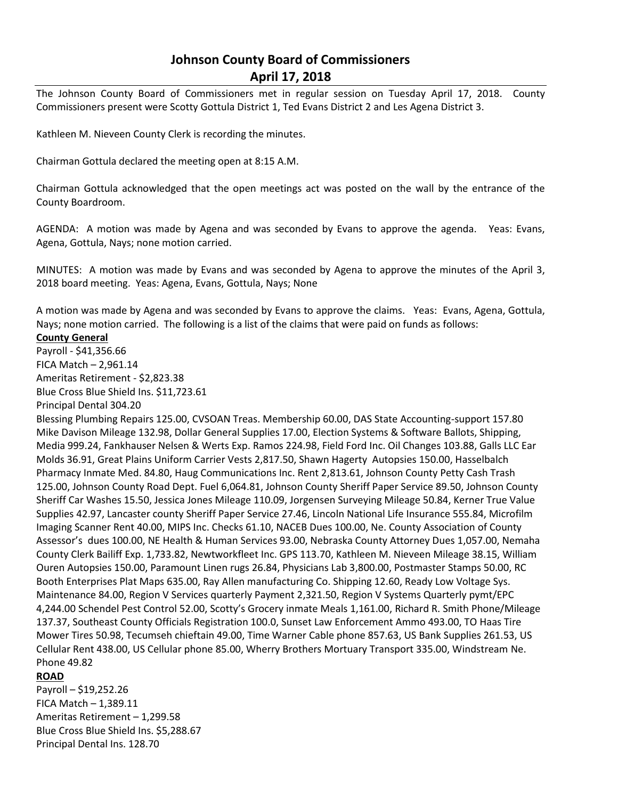# **Johnson County Board of Commissioners April 17, 2018**

The Johnson County Board of Commissioners met in regular session on Tuesday April 17, 2018. County Commissioners present were Scotty Gottula District 1, Ted Evans District 2 and Les Agena District 3.

Kathleen M. Nieveen County Clerk is recording the minutes.

Chairman Gottula declared the meeting open at 8:15 A.M.

Chairman Gottula acknowledged that the open meetings act was posted on the wall by the entrance of the County Boardroom.

AGENDA: A motion was made by Agena and was seconded by Evans to approve the agenda. Yeas: Evans, Agena, Gottula, Nays; none motion carried.

MINUTES: A motion was made by Evans and was seconded by Agena to approve the minutes of the April 3, 2018 board meeting. Yeas: Agena, Evans, Gottula, Nays; None

A motion was made by Agena and was seconded by Evans to approve the claims. Yeas: Evans, Agena, Gottula, Nays; none motion carried. The following is a list of the claims that were paid on funds as follows:

#### **County General**

Payroll - \$41,356.66 FICA Match – 2,961.14 Ameritas Retirement - \$2,823.38 Blue Cross Blue Shield Ins. \$11,723.61

Principal Dental 304.20

Blessing Plumbing Repairs 125.00, CVSOAN Treas. Membership 60.00, DAS State Accounting-support 157.80 Mike Davison Mileage 132.98, Dollar General Supplies 17.00, Election Systems & Software Ballots, Shipping, Media 999.24, Fankhauser Nelsen & Werts Exp. Ramos 224.98, Field Ford Inc. Oil Changes 103.88, Galls LLC Ear Molds 36.91, Great Plains Uniform Carrier Vests 2,817.50, Shawn Hagerty Autopsies 150.00, Hasselbalch Pharmacy Inmate Med. 84.80, Haug Communications Inc. Rent 2,813.61, Johnson County Petty Cash Trash 125.00, Johnson County Road Dept. Fuel 6,064.81, Johnson County Sheriff Paper Service 89.50, Johnson County Sheriff Car Washes 15.50, Jessica Jones Mileage 110.09, Jorgensen Surveying Mileage 50.84, Kerner True Value Supplies 42.97, Lancaster county Sheriff Paper Service 27.46, Lincoln National Life Insurance 555.84, Microfilm Imaging Scanner Rent 40.00, MIPS Inc. Checks 61.10, NACEB Dues 100.00, Ne. County Association of County Assessor's dues 100.00, NE Health & Human Services 93.00, Nebraska County Attorney Dues 1,057.00, Nemaha County Clerk Bailiff Exp. 1,733.82, Newtworkfleet Inc. GPS 113.70, Kathleen M. Nieveen Mileage 38.15, William Ouren Autopsies 150.00, Paramount Linen rugs 26.84, Physicians Lab 3,800.00, Postmaster Stamps 50.00, RC Booth Enterprises Plat Maps 635.00, Ray Allen manufacturing Co. Shipping 12.60, Ready Low Voltage Sys. Maintenance 84.00, Region V Services quarterly Payment 2,321.50, Region V Systems Quarterly pymt/EPC 4,244.00 Schendel Pest Control 52.00, Scotty's Grocery inmate Meals 1,161.00, Richard R. Smith Phone/Mileage 137.37, Southeast County Officials Registration 100.0, Sunset Law Enforcement Ammo 493.00, TO Haas Tire Mower Tires 50.98, Tecumseh chieftain 49.00, Time Warner Cable phone 857.63, US Bank Supplies 261.53, US Cellular Rent 438.00, US Cellular phone 85.00, Wherry Brothers Mortuary Transport 335.00, Windstream Ne. Phone 49.82

### **ROAD**

Payroll – \$19,252.26 FICA Match – 1,389.11 Ameritas Retirement – 1,299.58 Blue Cross Blue Shield Ins. \$5,288.67 Principal Dental Ins. 128.70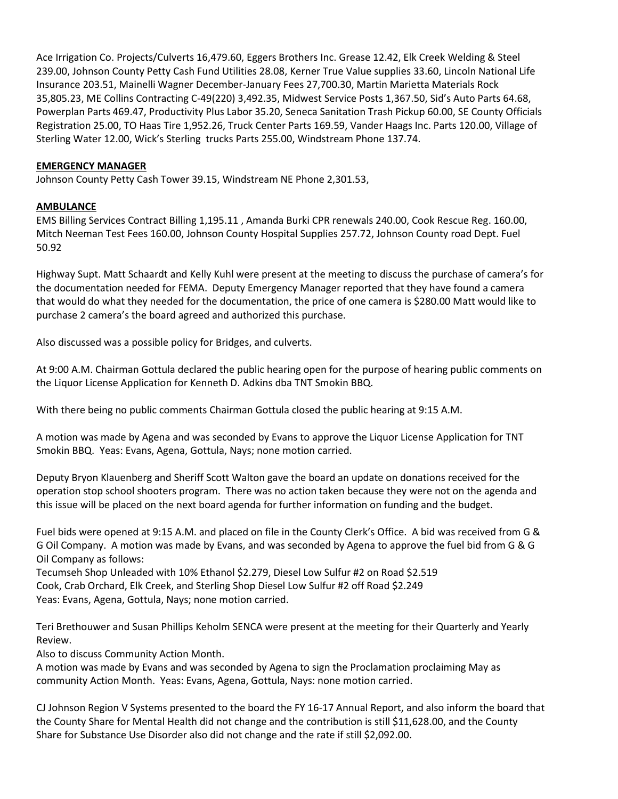Ace Irrigation Co. Projects/Culverts 16,479.60, Eggers Brothers Inc. Grease 12.42, Elk Creek Welding & Steel 239.00, Johnson County Petty Cash Fund Utilities 28.08, Kerner True Value supplies 33.60, Lincoln National Life Insurance 203.51, Mainelli Wagner December-January Fees 27,700.30, Martin Marietta Materials Rock 35,805.23, ME Collins Contracting C-49(220) 3,492.35, Midwest Service Posts 1,367.50, Sid's Auto Parts 64.68, Powerplan Parts 469.47, Productivity Plus Labor 35.20, Seneca Sanitation Trash Pickup 60.00, SE County Officials Registration 25.00, TO Haas Tire 1,952.26, Truck Center Parts 169.59, Vander Haags Inc. Parts 120.00, Village of Sterling Water 12.00, Wick's Sterling trucks Parts 255.00, Windstream Phone 137.74.

### **EMERGENCY MANAGER**

Johnson County Petty Cash Tower 39.15, Windstream NE Phone 2,301.53,

## **AMBULANCE**

EMS Billing Services Contract Billing 1,195.11 , Amanda Burki CPR renewals 240.00, Cook Rescue Reg. 160.00, Mitch Neeman Test Fees 160.00, Johnson County Hospital Supplies 257.72, Johnson County road Dept. Fuel 50.92

Highway Supt. Matt Schaardt and Kelly Kuhl were present at the meeting to discuss the purchase of camera's for the documentation needed for FEMA. Deputy Emergency Manager reported that they have found a camera that would do what they needed for the documentation, the price of one camera is \$280.00 Matt would like to purchase 2 camera's the board agreed and authorized this purchase.

Also discussed was a possible policy for Bridges, and culverts.

At 9:00 A.M. Chairman Gottula declared the public hearing open for the purpose of hearing public comments on the Liquor License Application for Kenneth D. Adkins dba TNT Smokin BBQ.

With there being no public comments Chairman Gottula closed the public hearing at 9:15 A.M.

A motion was made by Agena and was seconded by Evans to approve the Liquor License Application for TNT Smokin BBQ. Yeas: Evans, Agena, Gottula, Nays; none motion carried.

Deputy Bryon Klauenberg and Sheriff Scott Walton gave the board an update on donations received for the operation stop school shooters program. There was no action taken because they were not on the agenda and this issue will be placed on the next board agenda for further information on funding and the budget.

Fuel bids were opened at 9:15 A.M. and placed on file in the County Clerk's Office. A bid was received from G & G Oil Company. A motion was made by Evans, and was seconded by Agena to approve the fuel bid from G & G Oil Company as follows:

Tecumseh Shop Unleaded with 10% Ethanol \$2.279, Diesel Low Sulfur #2 on Road \$2.519 Cook, Crab Orchard, Elk Creek, and Sterling Shop Diesel Low Sulfur #2 off Road \$2.249 Yeas: Evans, Agena, Gottula, Nays; none motion carried.

Teri Brethouwer and Susan Phillips Keholm SENCA were present at the meeting for their Quarterly and Yearly Review.

Also to discuss Community Action Month.

A motion was made by Evans and was seconded by Agena to sign the Proclamation proclaiming May as community Action Month. Yeas: Evans, Agena, Gottula, Nays: none motion carried.

CJ Johnson Region V Systems presented to the board the FY 16-17 Annual Report, and also inform the board that the County Share for Mental Health did not change and the contribution is still \$11,628.00, and the County Share for Substance Use Disorder also did not change and the rate if still \$2,092.00.